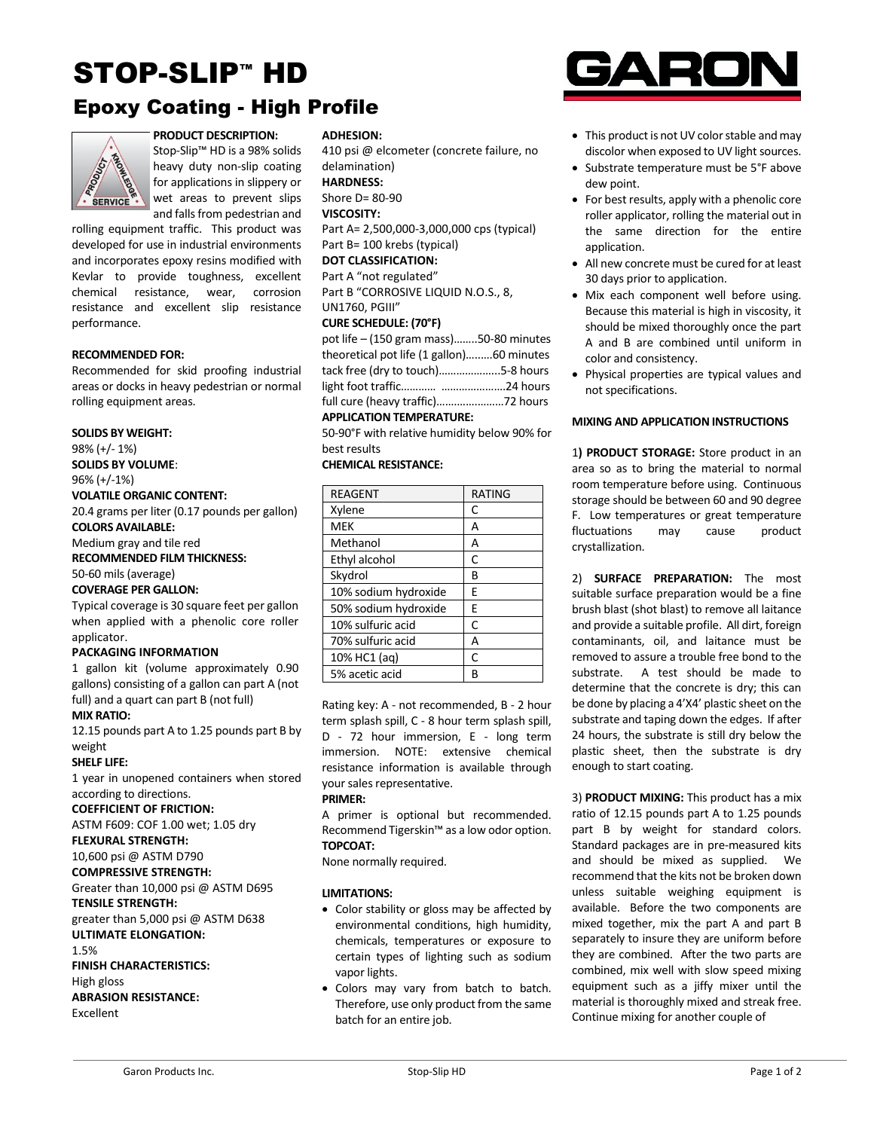# STOP-SLIP™ HD

# Epoxy Coating - High Profile



**PRODUCT DESCRIPTION:** Stop-Slip™ HD is a 98% solids heavy duty non-slip coating for applications in slippery or wet areas to prevent slips and falls from pedestrian and

rolling equipment traffic. This product was developed for use in industrial environments and incorporates epoxy resins modified with Kevlar to provide toughness, excellent chemical resistance, wear, corrosion resistance and excellent slip resistance performance.

#### **RECOMMENDED FOR:**

Recommended for skid proofing industrial areas or docks in heavy pedestrian or normal rolling equipment areas.

#### **SOLIDS BY WEIGHT:**

98% (+/- 1%) **SOLIDS BY VOLUME**: 96% (+/-1%)

## **VOLATILE ORGANIC CONTENT:**

20.4 grams per liter (0.17 pounds per gallon) **COLORS AVAILABLE:**

# Medium gray and tile red

#### **RECOMMENDED FILM THICKNESS:**

50-60 mils (average)

#### **COVERAGE PER GALLON:**

Typical coverage is 30 square feet per gallon when applied with a phenolic core roller applicator.

#### **PACKAGING INFORMATION**

1 gallon kit (volume approximately 0.90 gallons) consisting of a gallon can part A (not full) and a quart can part B (not full)

#### **MIX RATIO:**

12.15 pounds part A to 1.25 pounds part B by weight

#### **SHELF LIFE:**

1 year in unopened containers when stored according to directions.

#### **COEFFICIENT OF FRICTION:**

ASTM F609: COF 1.00 wet; 1.05 dry

# **FLEXURAL STRENGTH:**

10,600 psi @ ASTM D790 **COMPRESSIVE STRENGTH:**

# Greater than 10,000 psi @ ASTM D695

**TENSILE STRENGTH:** greater than 5,000 psi @ ASTM D638 **ULTIMATE ELONGATION:**

### 1.5%

**FINISH CHARACTERISTICS:**

#### High gloss

**ABRASION RESISTANCE:**

Excellent

#### **ADHESION:**

410 psi @ elcometer (concrete failure, no delamination) **HARDNESS:** Shore D= 80-90

#### **VISCOSITY:**

Part A= 2,500,000-3,000,000 cps (typical) Part B= 100 krebs (typical)

# **DOT CLASSIFICATION:**

# Part A "not regulated"

Part B "CORROSIVE LIQUID N.O.S., 8, UN1760, PGIII"

#### **CURE SCHEDULE: (70°F)**

| pot life $-$ (150 gram mass)50-80 minutes |  |  |
|-------------------------------------------|--|--|
| theoretical pot life (1 gallon)60 minutes |  |  |
| tack free (dry to touch)5-8 hours         |  |  |
|                                           |  |  |
|                                           |  |  |
| ADDUCATION TEMPERATURE.                   |  |  |

#### **APPLICATION TEMPERATURE:**

50-90°F with relative humidity below 90% for best results

## **CHEMICAL RESISTANCE:**

| <b>REAGENT</b>       | <b>RATING</b> |
|----------------------|---------------|
| Xylene               | C             |
| <b>MEK</b>           | Α             |
| Methanol             | Α             |
| Ethyl alcohol        | C             |
| Skydrol              | В             |
| 10% sodium hydroxide | F             |
| 50% sodium hydroxide | Е             |
| 10% sulfuric acid    | Ċ             |
| 70% sulfuric acid    | А             |
| 10% HC1 (aq)         | Ċ             |
| 5% acetic acid       | R             |

Rating key: A - not recommended, B - 2 hour term splash spill, C - 8 hour term splash spill, D - 72 hour immersion, E - long term immersion. NOTE: extensive chemical resistance information is available through your sales representative.

#### **PRIMER:**

A primer is optional but recommended. Recommend Tigerskin™ as a low odor option. **TOPCOAT:**

None normally required.

#### **LIMITATIONS:**

- Color stability or gloss may be affected by environmental conditions, high humidity, chemicals, temperatures or exposure to certain types of lighting such as sodium vapor lights.
- Colors may vary from batch to batch. Therefore, use only product from the same batch for an entire job.



- This product is not UV color stable and may discolor when exposed to UV light sources.
- Substrate temperature must be 5°F above dew point.
- For best results, apply with a phenolic core roller applicator, rolling the material out in the same direction for the entire application.
- All new concrete must be cured for at least 30 days prior to application.
- Mix each component well before using. Because this material is high in viscosity, it should be mixed thoroughly once the part A and B are combined until uniform in color and consistency.
- Physical properties are typical values and not specifications.

#### **MIXING AND APPLICATION INSTRUCTIONS**

1**) PRODUCT STORAGE:** Store product in an area so as to bring the material to normal room temperature before using. Continuous storage should be between 60 and 90 degree F. Low temperatures or great temperature fluctuations may cause product crystallization.

2) **SURFACE PREPARATION:** The most suitable surface preparation would be a fine brush blast (shot blast) to remove all laitance and provide a suitable profile. All dirt, foreign contaminants, oil, and laitance must be removed to assure a trouble free bond to the substrate. A test should be made to determine that the concrete is dry; this can be done by placing a 4'X4' plastic sheet on the substrate and taping down the edges. If after 24 hours, the substrate is still dry below the plastic sheet, then the substrate is dry enough to start coating.

3) **PRODUCT MIXING:** This product has a mix ratio of 12.15 pounds part A to 1.25 pounds part B by weight for standard colors. Standard packages are in pre-measured kits and should be mixed as supplied. We recommend that the kits not be broken down unless suitable weighing equipment is available. Before the two components are mixed together, mix the part A and part B separately to insure they are uniform before they are combined. After the two parts are combined, mix well with slow speed mixing equipment such as a jiffy mixer until the material is thoroughly mixed and streak free. Continue mixing for another couple of